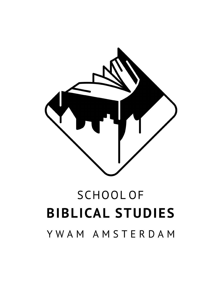

# **SCHOOLOF BIBLICAL STUDIES** YWAM AMSTERDAM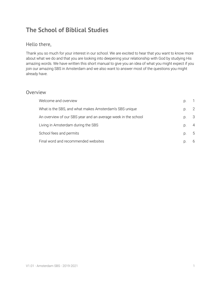# **The School of Biblical Studies**

### Hello there,

Thank you so much for your interest in our school. We are excited to hear that you want to know more about what we do and that you are looking into deepening your relationship with God by studying His amazing words. We have written this short manual to give you an idea of what you might expect if you join our amazing SBS in Amsterdam and we also want to answer most of the questions you might already have.

#### Overview

| Welcome and overview                                          | D. |   |
|---------------------------------------------------------------|----|---|
| What is the SBS, and what makes Amsterdam's SBS unique        | D. | 2 |
| An overview of our SBS year and an average week in the school | D. | 3 |
| Living in Amsterdam during the SBS                            | D. | 4 |
| School fees and permits                                       | D. | 5 |
| Final word and recommended websites                           |    | 6 |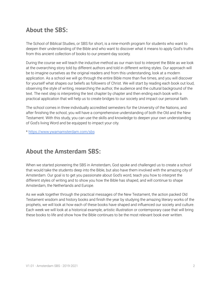# **About the SBS:**

The School of Biblical Studies, or SBS for short, is a nine-month program for students who want to deepen their understanding of the Bible and who want to discover what it means to apply God's truths from this ancient collection of books to our present-day society.

During the course we will teach the inductive method as our main tool to interpret the Bible as we look at the overarching story told by different authors and told in different writing styles. Our approach will be to imagine ourselves as the original readers and from this understanding, look at a modern application. As a school we will go through the entire Bible more than five times, and you will discover for yourself what shapes our beliefs as followers of Christ. We will start by reading each book out loud, observing the style of writing, researching the author, the audience and the cultural background of the text. The next step is interpreting the text chapter by chapter and then ending each book with a practical application that will help us to create bridges to our society and impact our personal faith.

The school comes in three individually accredited semesters for the University of the Nations, and after finishing the school, you will have a comprehensive understanding of both the Old and the New Testament. With this study, you can use the skills and knowledge to deepen your own understanding of God's living Word and be equipped to impact your city.

\* <https://www.ywamamsterdam.com/sbs>

## **About the Amsterdam SBS:**

When we started pioneering the SBS in Amsterdam, God spoke and challenged us to create a school that would take the students deep into the Bible, but also have them involved with the amazing city of Amsterdam. Our goal is to get you passionate about God's word, teach you how to interpret the different styles of writing and to show you how the Bible has shaped, and will continue to shape Amsterdam, the Netherlands and Europe.

As we walk together through the practical messages of the New Testament, the action packed Old Testament wisdom and history books and finish the year by studying the amazing literary works of the prophets, we will look at how each of these books have shaped and influenced our society and culture. Each week we will look at a historical example, artistic illustration or contemporary case that will bring these books to life and show how the Bible continues to be the most relevant book ever written.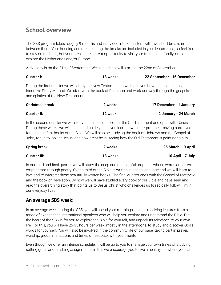## **School overview**

The SBS program takes roughly 9 months and is divided into 3 quarters with two short breaks in between them. Your housing and meals during the breaks are included in your lecture fees, so feel free to stay on the base, but your breaks are a great opportunity to visit your friends and family, or to explore the Netherlands and/or Europe.

Arrival day is on the 21st of September. We as a school will start on the 22nd of September.

| <b>Quarter I:</b>                                                                                 | 13 weeks | 22 September - 16 December |
|---------------------------------------------------------------------------------------------------|----------|----------------------------|
| During the first quarter we will study the New Testament as we teach you how to use and apply the |          |                            |
| Inductive Study Method. We start with the book of Philemon and work our way through the gospels   |          |                            |
| and epistles of the New Testament.                                                                |          |                            |

| <b>Christmas break</b> | 2 weeks  | 17 December - 1 January |
|------------------------|----------|-------------------------|
| <b>Quarter II:</b>     | 12 weeks | 2 January - 24 March    |

In the second quarter we will study the historical books of the Old Testament and open with Genesis. During these weeks we will teach and guide you as you learn how to interpret the amazing narratives found in the first books of the Bible. We will also be studying the book of Hebrews and the Gospel of John, for us to look at Jesus, and how great he is, seeing how the Old Testament is pointing to him.

| <b>Spring break</b> | 2 weeks  | 25 March - 9 April |
|---------------------|----------|--------------------|
| <b>Quarter III:</b> | 13 weeks | 10 April - 7 July  |

In our third and final quarter we will study the deep and meaningful prophets, whose words are often emphasised through poetry. Over a third of the Bible is written in poetic language and we will learn to love and to interpret these beautifully written books. The final quarter ends with the Gospel of Matthew and the book of Revelation. By now we will have studied every book of our Bible and have seen and read the overarching story that points us to Jesus Christ who challenges us to radically follow Him in our everyday lives.

## **An average SBS week:**

In an average week during the SBS, you will spend your mornings in class receiving lectures from a range of experienced international speakers who will help you explore and understand the Bible. But the heart of the SBS is for you to explore the Bible for yourself, and unpack its relevance to your own life. For this, you will have 25-35 hours per week, mostly in the afternoons, to study and discover God's words for yourself. You will also be involved in the community life of our base, taking part in prayer, worship, group interactions and times of feedback with your mentor.

Even though we offer an intense schedule, it will be up to you to manage your own times of studying, setting goals and finishing assignments; in this we encourage you to live a healthy life where you can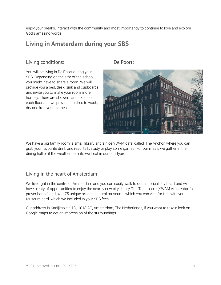enjoy your breaks, interact with the community and most importantly to continue to love and explore God's amazing words.

## **Living in Amsterdam during your SBS**

## Living conditions: De Poort:

You will be living in De Poort during your SBS. Depending on the size of the school, you might have to share a room. We will provide you a bed, desk, sink and cupboards and invite you to make your room more homely. There are showers and toilets on each floor and we provide facilities to wash, dry and iron your clothes.



We have a big family room, a small library and a nice YWAM cafe, called 'The Anchor' where you can grab your favourite drink and read, talk, study or play some games. For our meals we gather in the dining hall or if the weather permits we'll eat in our courtyard.

### Living in the heart of Amsterdam

We live right in the centre of Amsterdam and you can easily walk to our historical city heart and will have plenty of opportunities to enjoy the nearby new city library, The Tabernacle (YWAM Amsterdam's prayer house) and over 75 unique art and cultural museums which you can visit for free with your Museum card, which we included in your SBS fees.

Our address is Kadijksplein 18,, 1018 AC, Amsterdam, The Netherlands, if you want to take a look on Google maps to get an impression of the surroundings.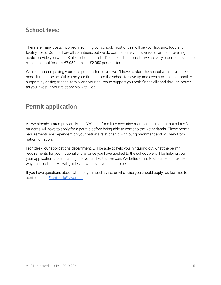## **School fees:**

There are many costs involved in running our school, most of this will be your housing, food and facility costs. Our staff are all volunteers, but we do compensate your speakers for their travelling costs, provide you with a Bible, dictionaries, etc. Despite all these costs, we are very proud to be able to run our school for only €7.050 total, or €2.350 per quarter.

We recommend paying your fees per quarter so you won't have to start the school with all your fees in hand. It might be helpful to use your time before the school to save up and even start raising monthly support, by asking friends, family and your church to support you both financially and through prayer as you invest in your relationship with God.

# **Permit application:**

As we already stated previously, the SBS runs for a little over nine months, this means that a lot of our students will have to apply for a permit, before being able to come to the Netherlands. These permit requirements are dependent on your nation's relationship with our government and will vary from nation to nation.

Frontdesk, our applications department, will be able to help you in figuring out what the permit requirements for your nationality are. Once you have applied to the school, we will be helping you in your application process and guide you as best as we can. We believe that God is able to provide a way and trust that He will guide you wherever you need to be.

If you have questions about whether you need a visa, or what visa you should apply for, feel free to contact us at [Frontdesk@ywam.nl](mailto:Frontdesk@ywam.nl)